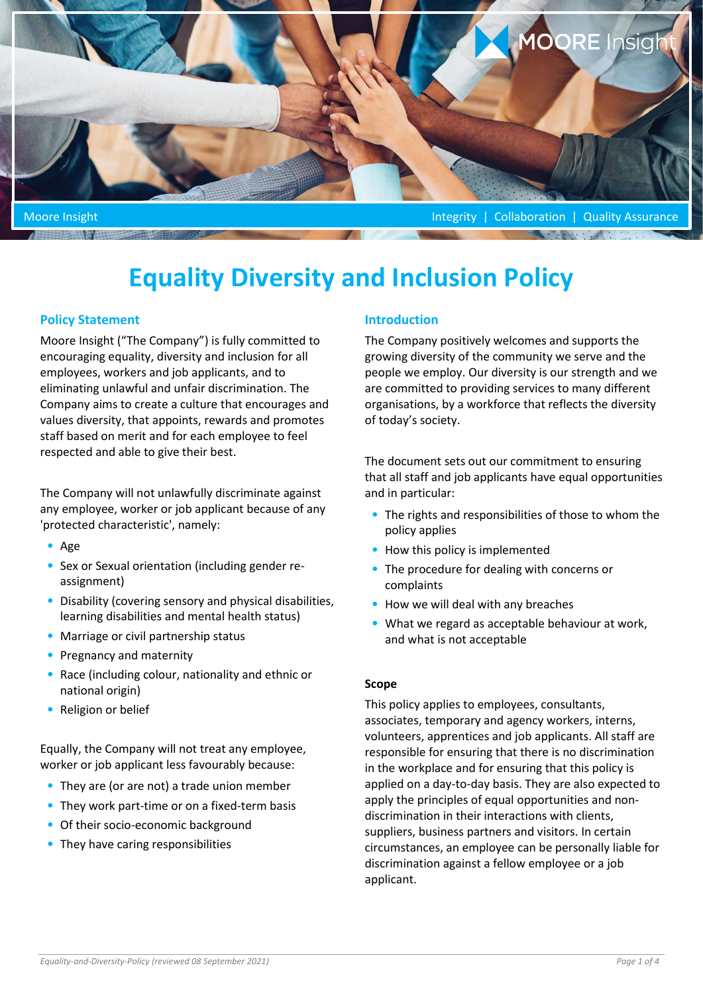

Moore Insight Integrity | Collaboration | Quality Assurance

# **Equality Diversity and Inclusion Policy**

# **Policy Statement**

Moore Insight ("The Company") is fully committed to encouraging equality, diversity and inclusion for all employees, workers and job applicants, and to eliminating unlawful and unfair discrimination. The Company aims to create a culture that encourages and values diversity, that appoints, rewards and promotes staff based on merit and for each employee to feel respected and able to give their best.

The Company will not unlawfully discriminate against any employee, worker or job applicant because of any 'protected characteristic', namely:

- Age
- Sex or Sexual orientation (including gender reassignment)
- Disability (covering sensory and physical disabilities, learning disabilities and mental health status)
- Marriage or civil partnership status
- Pregnancy and maternity
- Race (including colour, nationality and ethnic or national origin)
- Religion or belief

Equally, the Company will not treat any employee, worker or job applicant less favourably because:

- They are (or are not) a trade union member
- They work part-time or on a fixed-term basis
- Of their socio-economic background
- They have caring responsibilities

# **Introduction**

The Company positively welcomes and supports the growing diversity of the community we serve and the people we employ. Our diversity is our strength and we are committed to providing services to many different organisations, by a workforce that reflects the diversity of today's society.

The document sets out our commitment to ensuring that all staff and job applicants have equal opportunities and in particular:

- The rights and responsibilities of those to whom the policy applies
- How this policy is implemented
- The procedure for dealing with concerns or complaints
- How we will deal with any breaches
- What we regard as acceptable behaviour at work, and what is not acceptable

## **Scope**

This policy applies to employees, consultants, associates, temporary and agency workers, interns, volunteers, apprentices and job applicants. All staff are responsible for ensuring that there is no discrimination in the workplace and for ensuring that this policy is applied on a day-to-day basis. They are also expected to apply the principles of equal opportunities and nondiscrimination in their interactions with clients, suppliers, business partners and visitors. In certain circumstances, an employee can be personally liable for discrimination against a fellow employee or a job applicant.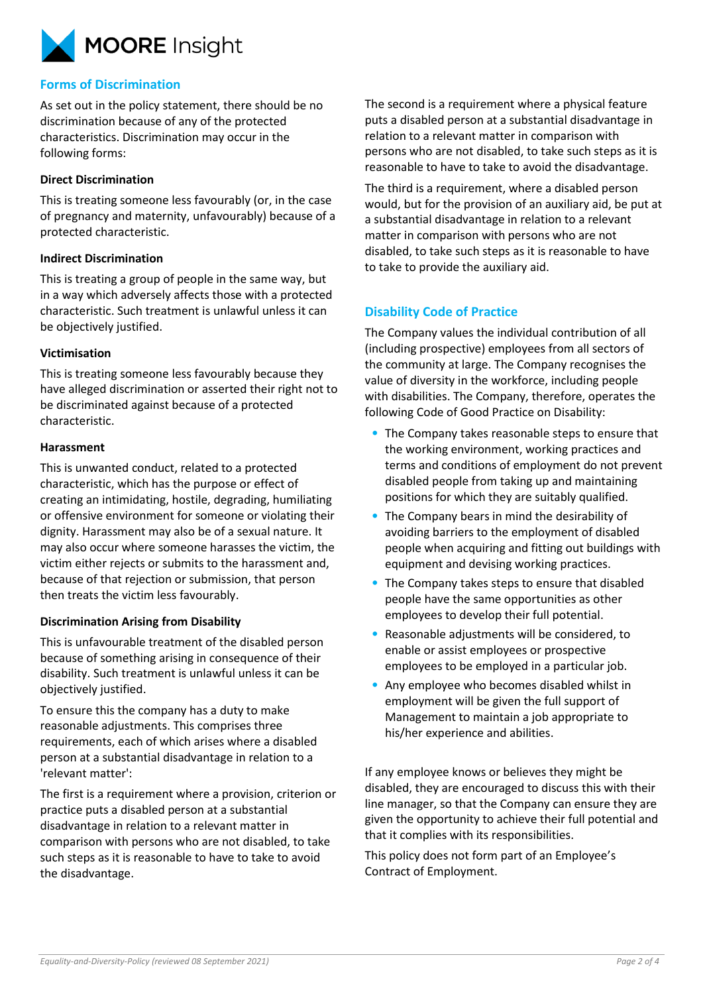

## **Forms of Discrimination**

As set out in the policy statement, there should be no discrimination because of any of the protected characteristics. Discrimination may occur in the following forms:

#### **Direct Discrimination**

This is treating someone less favourably (or, in the case of pregnancy and maternity, unfavourably) because of a protected characteristic.

#### **Indirect Discrimination**

This is treating a group of people in the same way, but in a way which adversely affects those with a protected characteristic. Such treatment is unlawful unless it can be objectively justified.

#### **Victimisation**

This is treating someone less favourably because they have alleged discrimination or asserted their right not to be discriminated against because of a protected characteristic.

#### **Harassment**

This is unwanted conduct, related to a protected characteristic, which has the purpose or effect of creating an intimidating, hostile, degrading, humiliating or offensive environment for someone or violating their dignity. Harassment may also be of a sexual nature. It may also occur where someone harasses the victim, the victim either rejects or submits to the harassment and, because of that rejection or submission, that person then treats the victim less favourably.

## **Discrimination Arising from Disability**

This is unfavourable treatment of the disabled person because of something arising in consequence of their disability. Such treatment is unlawful unless it can be objectively justified.

To ensure this the company has a duty to make reasonable adjustments. This comprises three requirements, each of which arises where a disabled person at a substantial disadvantage in relation to a 'relevant matter':

The first is a requirement where a provision, criterion or practice puts a disabled person at a substantial disadvantage in relation to a relevant matter in comparison with persons who are not disabled, to take such steps as it is reasonable to have to take to avoid the disadvantage.

The second is a requirement where a physical feature puts a disabled person at a substantial disadvantage in relation to a relevant matter in comparison with persons who are not disabled, to take such steps as it is reasonable to have to take to avoid the disadvantage.

The third is a requirement, where a disabled person would, but for the provision of an auxiliary aid, be put at a substantial disadvantage in relation to a relevant matter in comparison with persons who are not disabled, to take such steps as it is reasonable to have to take to provide the auxiliary aid.

## **Disability Code of Practice**

The Company values the individual contribution of all (including prospective) employees from all sectors of the community at large. The Company recognises the value of diversity in the workforce, including people with disabilities. The Company, therefore, operates the following Code of Good Practice on Disability:

- The Company takes reasonable steps to ensure that the working environment, working practices and terms and conditions of employment do not prevent disabled people from taking up and maintaining positions for which they are suitably qualified.
- The Company bears in mind the desirability of avoiding barriers to the employment of disabled people when acquiring and fitting out buildings with equipment and devising working practices.
- The Company takes steps to ensure that disabled people have the same opportunities as other employees to develop their full potential.
- Reasonable adjustments will be considered, to enable or assist employees or prospective employees to be employed in a particular job.
- Any employee who becomes disabled whilst in employment will be given the full support of Management to maintain a job appropriate to his/her experience and abilities.

If any employee knows or believes they might be disabled, they are encouraged to discuss this with their line manager, so that the Company can ensure they are given the opportunity to achieve their full potential and that it complies with its responsibilities.

This policy does not form part of an Employee's Contract of Employment.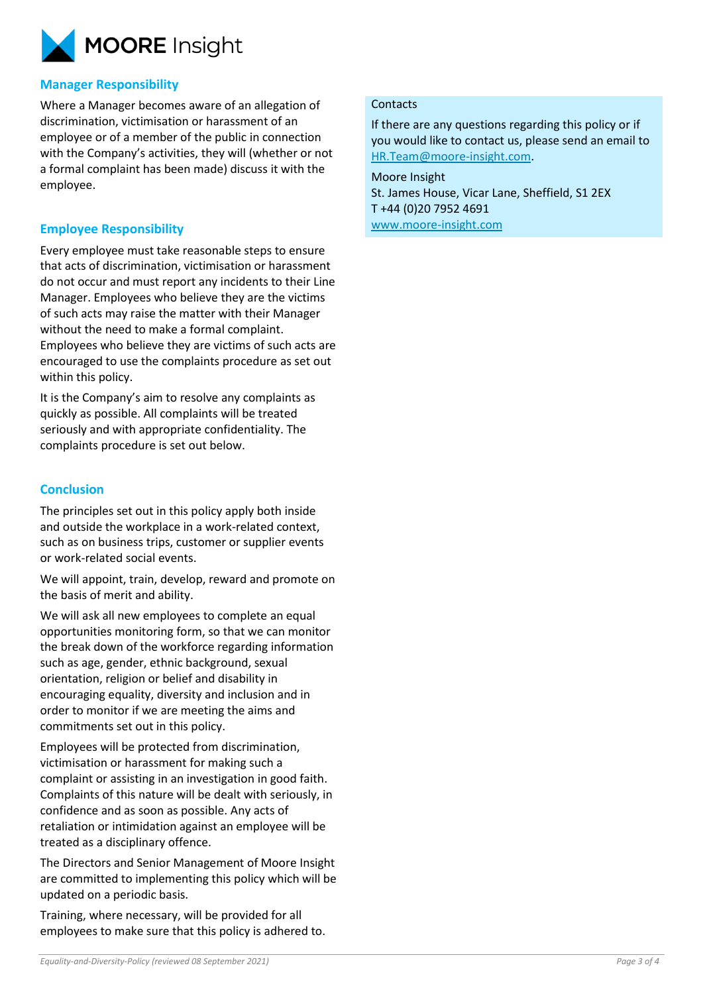

## **Manager Responsibility**

Where a Manager becomes aware of an allegation of discrimination, victimisation or harassment of an employee or of a member of the public in connection with the Company's activities, they will (whether or not a formal complaint has been made) discuss it with the employee.

## **Employee Responsibility**

Every employee must take reasonable steps to ensure that acts of discrimination, victimisation or harassment do not occur and must report any incidents to their Line Manager. Employees who believe they are the victims of such acts may raise the matter with their Manager without the need to make a formal complaint. Employees who believe they are victims of such acts are encouraged to use the complaints procedure as set out within this policy.

It is the Company's aim to resolve any complaints as quickly as possible. All complaints will be treated seriously and with appropriate confidentiality. The complaints procedure is set out below.

## **Conclusion**

The principles set out in this policy apply both inside and outside the workplace in a work-related context, such as on business trips, customer or supplier events or work-related social events.

We will appoint, train, develop, reward and promote on the basis of merit and ability.

We will ask all new employees to complete an equal opportunities monitoring form, so that we can monitor the break down of the workforce regarding information such as age, gender, ethnic background, sexual orientation, religion or belief and disability in encouraging equality, diversity and inclusion and in order to monitor if we are meeting the aims and commitments set out in this policy.

Employees will be protected from discrimination, victimisation or harassment for making such a complaint or assisting in an investigation in good faith. Complaints of this nature will be dealt with seriously, in confidence and as soon as possible. Any acts of retaliation or intimidation against an employee will be treated as a disciplinary offence.

The Directors and Senior Management of Moore Insight are committed to implementing this policy which will be updated on a periodic basis.

Training, where necessary, will be provided for all employees to make sure that this policy is adhered to.

#### **Contacts**

If there are any questions regarding this policy or if you would like to contact us, please send an email to [HR.Team@moore-insight.com.](mailto:HR.Team@moore-insight.com)

Moore Insight St. James House, Vicar Lane, Sheffield, S1 2EX T +44 (0)20 7952 4691 [www.moore-insight.com](http://www.moore-insight.com/)